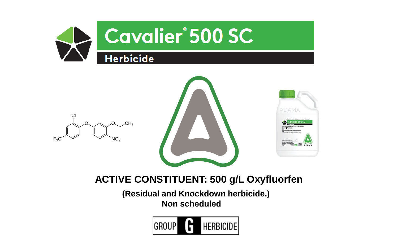







### **ACTIVE CONSTITUENT: 500 g/L Oxyfluorfen**

 **(Residual and Knockdown herbicide.) Non scheduled**

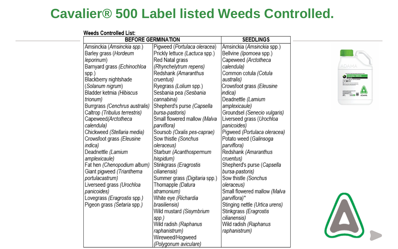### **Cavalier® 500 Label listed Weeds Controlled.**

| Weeds Controlled List: |                            |                              |  |  |  |  |
|------------------------|----------------------------|------------------------------|--|--|--|--|
|                        | <b>BEFORE GERMINATION</b>  |                              |  |  |  |  |
|                        | Amsinckia (Amsinckia spp.) | Pigweed (Portulaca olerad    |  |  |  |  |
|                        | Rarlov aracc / Hordoum     | Drickly lettuce // actuse en |  |  |  |  |

|                                | <b>BEFORE GERMINATION</b>            | <b>SEEDLINGS</b>               |              |
|--------------------------------|--------------------------------------|--------------------------------|--------------|
| Amsinckia (Amsinckia spp.)     | Pigweed (Portulaca oleracea)         | Amsinckia (Amsinckia spp.)     |              |
| Barley grass (Hordeum          | Prickly lettuce (Lactuca spp.)       | Bellvine (Ipomoea spp.)        |              |
| leporinum)                     | Red Natal grass                      | Capeweed (Arctotheca           |              |
| Barnyard grass (Echinochloa    | (Rhynchelytrum repens)               | calendula)                     | ADAMA        |
| spp.)                          | Redshank (Amaranthus                 | Common cotula (Cotula          | Cavalier 500 |
| Blackberry nightshade          | cruentus)                            | australis)                     |              |
| (Solanum nigrum)               | Ryegrass (Lolium spp.)               | Crowsfoot grass (Eleusine      |              |
| Bladder ketmia (Hibiscus       | Sesbania pea (Sesbania               | indica)                        |              |
| trionum)                       | cannabina)                           | Deadnettle (Lamium             |              |
| Burrgrass (Cenchrus australis) | Shepherd's purse (Capsella           | amplexicaule)                  |              |
| Caltrop (Tribulus terrestris)  | bursa-pastoris)                      | Groundsel (Senecio vulgaris)   |              |
| Capeweed/Arctotheca            | Small flowered mallow (Malva         | Liverseed grass (Urochloa      |              |
| calendula)                     | parviflora)                          | panicoides)                    |              |
| Chickweed (Stellaria media)    | Soursob (Oxalis pes-caprae)          | Pigweed (Portulaca oleracea)   |              |
| Crowsfoot grass (Eleusine      | Sow thistle (Sonchus                 | Potato weed (Galinsoga         |              |
| indica)                        | oleraceus)                           | parviflora)                    |              |
| Deadnettle (Lamium             | Starburr (Acanthospermum             | Redshank (Amaranthus           |              |
| amplexicaule)                  | hispidum)                            | cruentus)                      |              |
| Fat hen (Chenopodium album)    | Stinkgrass (Eragrostis               | Shepherd's purse (Capsella     |              |
| Giant pigweed (Trianthema      | cilianensis)                         | bursa-pastoris)                |              |
| portulacastrum)                | Summer grass <i>(Digitaria</i> spp.) | Sow thistle (Sonchus           |              |
| Liverseed grass (Urochloa      | Thornapple <i>(Datura</i>            | oleraceus)                     |              |
| panicoides)                    | stramonium)                          | Small flowered mallow (Malva   |              |
| Lovegrass (Eragrostis spp.)    | White eye (Richardia                 | parviflora)*                   |              |
| Pigeon grass (Setaria spp.)    | brasiliensis)                        | Stinging nettle (Urtica urens) |              |
|                                | Wild mustard (Sisymbrium             | Stinkgrass (Eragrostis         |              |
|                                | spp.)                                | cilianensis)                   |              |
|                                | Wild radish <i>(Raphanus</i>         | Wild radish (Raphanus          | $\sqrt{2}$   |
|                                | raphanistrum)                        | raphanistrum)                  |              |
|                                | Wireweed/Hogweed                     |                                |              |
|                                | (Polygonum aviculare)                |                                |              |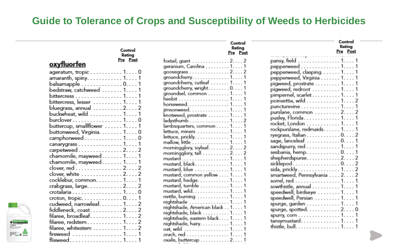### **Guide to Tolerance of Crops and Susceptibility of Weeds to Herbicides**

Control Rating

|                             | Control<br>Rating |         |
|-----------------------------|-------------------|---------|
|                             | Pre Post          | fe      |
| <u>oxyfluorfen</u>          |                   | g       |
| ageratum, tropic 1. 0       |                   | g       |
| amaranth, spiny. 1. 1       |                   | g       |
| balsamapple 0. 1            |                   | g       |
| bedstraw, catchweed 1. 1    |                   | g       |
| bittercress 1. 1            |                   | ទ<br>ក  |
| bittercress, lesser  1 1    |                   | h       |
| bluegrass, annual 2. 2      |                   |         |
| buckwheat, wild 1. 1        |                   | ji<br>k |
| burclover 1. 0              |                   | la      |
| buttercup, smallflower  1 1 |                   | k       |
| buttonweed, Virginia. 1. 0  |                   | k       |
| camphorweed10               |                   | k       |
| canarygrass 1. 1            |                   | m       |
| carpetweed22                |                   | m       |
| chamomile, mayweed 1 1      |                   | m       |
| chamomile, mayweed. 1. 1    |                   | m       |
| clover, red 2. 2            |                   | m<br>m  |
| clover, white 2. 2          |                   | m       |
| cocklebur, common. 1. 1     |                   | m       |
| crabgrass, large. 2. 2      |                   | m       |
| crotalaria 1. 0             |                   | m       |
| croton, tropic. 0. 1        |                   | n       |
| cudweed, narrowleaf. 1. 2   |                   | n       |
| fiddleneck, coast. 2. 2     |                   | n       |
| filaree, broadleaf. 1. 2    |                   | n       |
| filaree, redstem 1. 2       |                   | n       |
| filaree, whitestem 1. 2     |                   | n<br>ō  |
| fireweed  1 1               |                   | ō       |
| flixweed. 1. 1              |                   | Ō       |
|                             |                   |         |

ADAMA<br> **C**<br> **C**<br>
<br>
<br>
<br>
<br>
<br>
<br>
<br>
<br>
<br>
<br>
<br>
<br>

|                                 | Pre Pos |   |
|---------------------------------|---------|---|
| foxtail, giant 2. 2             |         |   |
| geranium, Carolina 1. 1         |         |   |
| goosegrass 2. 2                 |         |   |
| groundcherry. 1. 1              |         |   |
| groundcherry, cutleaf  1 1      |         |   |
| groundcherry, wright. 0. 1      |         |   |
| groundsel, common 1. 1          |         |   |
|                                 |         |   |
| horseweed. 1. 1                 |         |   |
|                                 |         |   |
| knotweed, prostrate 1. 1        |         |   |
| ladysthumb 1. 2                 |         |   |
| lambsquarters, common 1. 1      |         |   |
| lettuce, miners 1. 1            |         |   |
| lettuce, prickly. 1. 1          |         |   |
| mallow, little 1. 1             |         |   |
| morningglory, ivyleaf. 2. 2     |         |   |
| morningglory, tall 2. 2         |         |   |
| mustard 1. 1                    |         |   |
| mustard, black. 1. 1            |         |   |
| mustard, blue 1. 1              |         |   |
| mustard, common yellow 1. 1     |         |   |
| mustard, hedge. 1. 1            |         |   |
| mustard, tumble 1. 1            |         |   |
| mustard, wild. 1. 1             |         |   |
| nettle, burning 1. 1            |         |   |
| nightshade 1. 1                 |         |   |
| nightshade, American black 1. 1 |         |   |
| nightshade, black 1.            |         | 1 |
| nightshade, eastern black 1 1   |         |   |
| nightshade, hairy. 1. 1         |         |   |
| oat, wild 1. 1                  |         |   |
| orach, red 1. 1                 |         |   |
| oxalis, buttercup 2. 1          |         |   |
|                                 |         |   |

|                                                           | Control<br>Rating<br>Pre Post |
|-----------------------------------------------------------|-------------------------------|
| pansy, field 1. 1                                         |                               |
| pepperweed 1.                                             |                               |
| pepperweed, clasping 1.                                   |                               |
| pepperweed, Virginia 1. 1                                 |                               |
| pigweed, prostrate 1.                                     |                               |
| pigweed, redroot 1.                                       |                               |
| pimpernel, scarlet 1.                                     |                               |
| poinsettia, wild                                          | $1. \ldots 2$                 |
| puncturevine 1. 1                                         |                               |
| .<br>purslane, common ........2....2                      |                               |
| pusley, Florida. 1.                                       |                               |
| rocket, London                                            |                               |
| rockpurslane, redmaids. 1. 1                              |                               |
| ryegrass, Italian 0. 2                                    |                               |
| sage, lanceleaf 0. 1                                      |                               |
| sandspurry, red $\ldots \ldots \ldots \ldots$ 1. $\ldots$ |                               |
| sesbania, hemp. 0.                                        |                               |
| shepherdspurse22                                          |                               |
| sicklepod. 0. 2                                           |                               |
| sida, prickly 1. 2                                        |                               |
| smartweed, Pennsylvania 2. 2                              |                               |
| sorrel, red                                               |                               |
| sowthistle, annual 1.                                     |                               |
| speedwell, birdseye  1                                    |                               |
| speedwell, Persian  1                                     |                               |
| spurge, garden 1.                                         |                               |
| spurge, spotted20                                         |                               |
| spurry, corn 1. 1                                         |                               |
| tansymustard.                                             | $1, \ldots$                   |
| thistle, bull. 1.                                         |                               |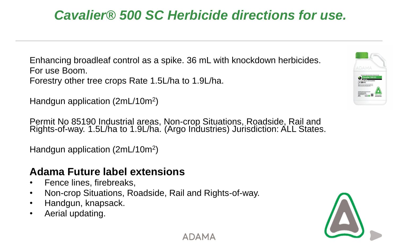#### ADAMA

# *Cavalier® 500 SC Herbicide directions for use.*

Enhancing broadleaf control as a spike. 36 mL with knockdown herbicides. For use Boom.

Forestry other tree crops Rate 1.5L/ha to 1.9L/ha.

Handgun application (2mL/10m<sup>2</sup>)

Permit No 85190 Industrial areas, Non-crop Situations, Roadside, Rail and Rights-of-way. 1.5L/ha to 1.9L/ha. (Argo Industries) Jurisdiction: ALL States.

Handgun application (2mL/10m<sup>2</sup>)

### **Adama Future label extensions**

- Fence lines, firebreaks,
- Non-crop Situations, Roadside, Rail and Rights-of-way.
- Handgun, knapsack.
- Aerial updating.



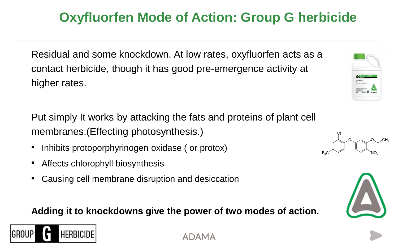#### ADAMA

Residual and some knockdown. At low rates, oxyfluorfen acts as a contact herbicide, though it has good pre-emergence activity at higher rates.

Put simply It works by attacking the fats and proteins of plant cell membranes.(Effecting photosynthesis.)

- Inhibits protoporphyrinogen oxidase (or protox)
- Affects chlorophyll biosynthesis

HERBICID

GROUP

• Causing cell membrane disruption and desiccation

### **Adding it to knockdowns give the power of two modes of action.**







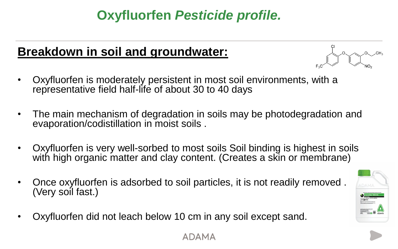# **Oxyfluorfen** *Pesticide profile.*

### **Breakdown in soil and groundwater:**

- Oxyfluorfen is moderately persistent in most soil environments, with a representative field half-life of about 30 to 40 days
- The main mechanism of degradation in soils may be photodegradation and evaporation/codistillation in moist soils .
- Oxyfluorfen is very well-sorbed to most soils Soil binding is highest in soils with high organic matter and clay content. (Creates a skin or membrane)

ADAMA

- Once oxyfluorfen is adsorbed to soil particles, it is not readily removed . (Very soil fast.)
- Oxyfluorfen did not leach below 10 cm in any soil except sand.



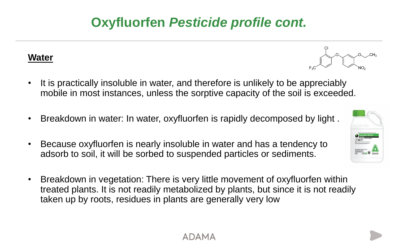# **Oxyfluorfen** *Pesticide profile cont.*

#### **Water**

- It is practically insoluble in water, and therefore is unlikely to be appreciably mobile in most instances, unless the sorptive capacity of the soil is exceeded.
- Breakdown in water: In water, oxyfluorfen is rapidly decomposed by light .
- Because oxyfluorfen is nearly insoluble in water and has a tendency to adsorb to soil, it will be sorbed to suspended particles or sediments.
- Breakdown in vegetation: There is very little movement of oxyfluorfen within treated plants. It is not readily metabolized by plants, but since it is not readily taken up by roots, residues in plants are generally very low



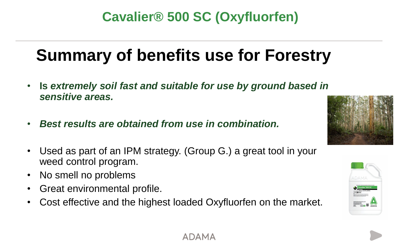# **Cavalier® 500 SC (Oxyfluorfen)**

# **Summary of benefits use for Forestry**

- **Is** *extremely soil fast and suitable for use by ground based in sensitive areas.*
- *Best results are obtained from use in combination.*
- Used as part of an IPM strategy. (Group G.) a great tool in your weed control program.
- No smell no problems
- Great environmental profile.
- Cost effective and the highest loaded Oxyfluorfen on the market.



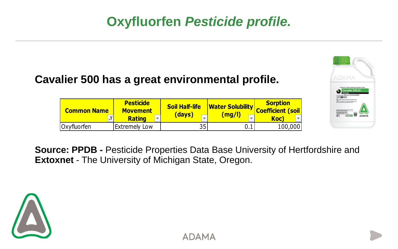# **Oxyfluorfen** *Pesticide profile.*

### **Cavalier 500 has a great environmental profile.**

| <b>Common Name</b> | <b>Pesticide</b><br><b>Movement</b> | <b>Soil Half-life</b><br>(days) | <b>Water Solubility</b> | <b>Sorption</b><br><b>Coefficient (soil</b> |  |
|--------------------|-------------------------------------|---------------------------------|-------------------------|---------------------------------------------|--|
|                    | <b>Rating</b>                       |                                 | (mg/l)                  | Koc)                                        |  |
| Oxyfluorfen        | <b>Extremely Low</b>                | 35                              |                         | 100,000                                     |  |
|                    |                                     |                                 |                         |                                             |  |



**Source: PPDB -** Pesticide Properties Data Base University of Hertfordshire and **Extoxnet** - The University of Michigan State, Oregon.

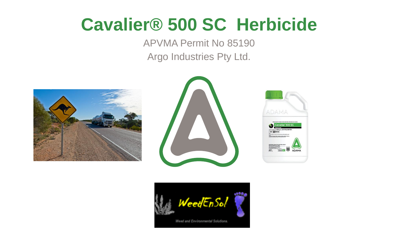# **Cavalier® 500 SC Herbicide**

### APVMA Permit No 85190 Argo Industries Pty Ltd.







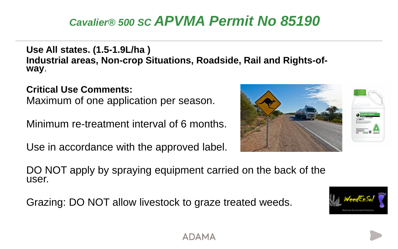### *Cavalier® 500 SC APVMA Permit No 85190*

**Use All states. (1.5-1.9L/ha ) Industrial areas, Non-crop Situations, Roadside, Rail and Rights-ofway**.

**Critical Use Comments:** 

Maximum of one application per season.

Minimum re-treatment interval of 6 months.

Use in accordance with the approved label.





DO NOT apply by spraying equipment carried on the back of the user.

Grazing: DO NOT allow livestock to graze treated weeds.



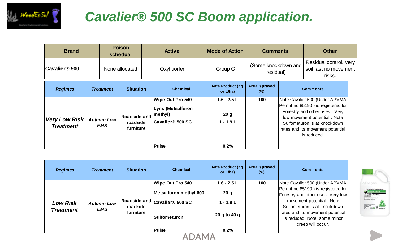

# *Cavalier® 500 SC Boom application.*

| <b>Brand</b>                             |  |                                 | <b>Poison</b><br>schedual             |  | <b>Active</b>                                                         | <b>Mode of Action</b>                           | <b>Comments</b>                  |  | <b>Other</b>                                                                                                                                                                                                             |  |
|------------------------------------------|--|---------------------------------|---------------------------------------|--|-----------------------------------------------------------------------|-------------------------------------------------|----------------------------------|--|--------------------------------------------------------------------------------------------------------------------------------------------------------------------------------------------------------------------------|--|
| <b>Cavalier® 500</b>                     |  |                                 | None allocated                        |  | Oxyfluorfen                                                           | Group G                                         | (Some knockdown and<br>residual) |  | Residual control. Very<br>soil fast no movement<br>risks.                                                                                                                                                                |  |
| <b>Regimes</b>                           |  | <b>Treatment</b>                | <b>Situation</b>                      |  | <b>Chemical</b>                                                       | <b>Rate Product (Kg)</b><br>or L/ha)            | Area sprayed<br>$(\%)$           |  | <b>Comments</b>                                                                                                                                                                                                          |  |
| <b>Very Low Risk</b><br><b>Treatment</b> |  | <b>Autumn Low</b><br><b>EMS</b> | Roadside and<br>roadside<br>furniture |  | Wipe Out Pro 540<br>Lynx (Metsulfuron<br>(methyl)<br>Cavalier® 500 SC | $1.6 - 2.5$ L<br>20 <sub>g</sub><br>$1 - 1.9$ L | 100                              |  | Note Cavalier 500 (Under APVMA<br>Permit no 85190) is registered for<br>Forestry and other uses. Very<br>low movement potential. Note<br>Sulfometuron is at knockdown<br>rates and its movement potential<br>is reduced. |  |
|                                          |  |                                 |                                       |  | Pulse                                                                 | 0.2%                                            |                                  |  |                                                                                                                                                                                                                          |  |

| <b>Regimes</b>               | <b>Treatment</b>         | <b>Situation</b>      | <b>Chemical</b>                      | <b>Rate Product (Kg)</b><br>or L/ha) | Area sprayed<br>(%) | <b>Comments</b>                                                                                     |  |
|------------------------------|--------------------------|-----------------------|--------------------------------------|--------------------------------------|---------------------|-----------------------------------------------------------------------------------------------------|--|
|                              |                          |                       | Wipe Out Pro 540                     | $1.6 - 2.5$ L                        | 100                 | Note Cavalier 500 (Under APVMA                                                                      |  |
|                              |                          |                       | Metsulfuron methyl 600               | 20 <sub>g</sub>                      |                     | Permit no 85190) is registered for<br>Forestry and other uses. Very low<br>movement potential. Note |  |
| Low Risk<br><b>Treatment</b> | <b>Autumn Low</b><br>EMS | roadside<br>furniture | <b>Roadside and Cavalier® 500 SC</b> | $1 - 1.9$ L                          |                     | Sulfometuron is at knockdown                                                                        |  |
|                              |                          |                       | <b>Sulfometuron</b>                  | 20 g to 40 g                         |                     | rates and its movement potential<br>is reduced. Note: some minor<br>creep will occur.               |  |
|                              |                          |                       | <b>Pulse</b>                         | 0.2%                                 |                     |                                                                                                     |  |
|                              |                          |                       |                                      |                                      |                     |                                                                                                     |  |

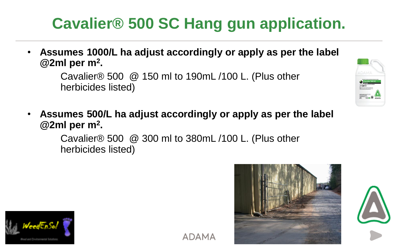# **Cavalier® 500 SC Hang gun application.**

• **Assumes 1000/L ha adjust accordingly or apply as per the label @2ml per m<sup>2</sup> .**

> Cavalier® 500 @ 150 ml to 190mL /100 L. (Plus other herbicides listed)

• **Assumes 500/L ha adjust accordingly or apply as per the label @2ml per m<sup>2</sup> .**

> Cavalier® 500 @ 300 ml to 380mL /100 L. (Plus other herbicides listed)









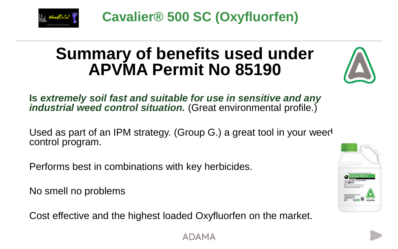

**Cavalier® 500 SC (Oxyfluorfen)** 

# **Summary of benefits used under APVMA Permit No 85190**



**Is** *extremely soil fast and suitable for use in sensitive and any industrial weed control situation.* (Great environmental profile.)

Used as part of an IPM strategy. (Group G.) a great tool in your weed control program.

Performs best in combinations with key herbicides.

No smell no problems

Cost effective and the highest loaded Oxyfluorfen on the market.



**ADAMA**